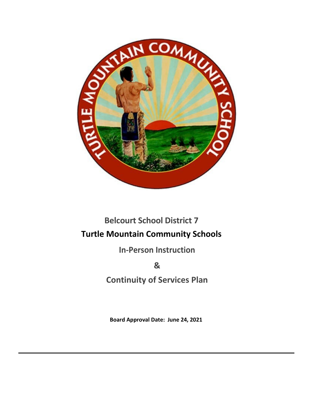

# **Belcourt School District 7 Turtle Mountain Community Schools**

**In-Person Instruction** 

**&**

**Continuity of Services Plan**

**Board Approval Date: June 24, 2021**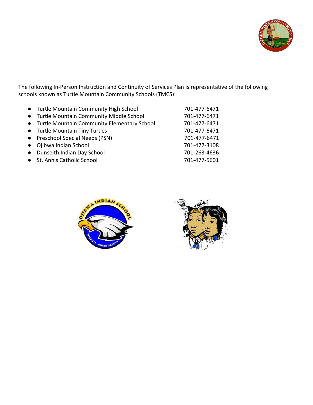

The following In-Person Instruction and Continuity of Services Plan is representative of the following schools known as Turtle Mountain Community Schools (TMCS):

| • Turtle Mountain Community High School       | 701-477-6471 |
|-----------------------------------------------|--------------|
| • Turtle Mountain Community Middle School     | 701-477-6471 |
| • Turtle Mountain Community Elementary School | 701-477-6471 |
| • Turtle Mountain Tiny Turtles                | 701-477-6471 |
| • Preschool Special Needs (PSN)               | 701-477-6471 |
| • Ojibwa Indian School                        | 701-477-3108 |
| • Dunseith Indian Day School                  | 701-263-4636 |
| • St. Ann's Catholic School                   | 701-477-5601 |
|                                               |              |



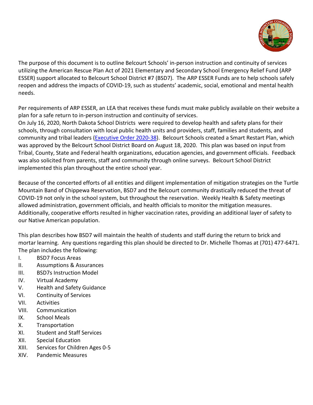

The purpose of this document is to outline Belcourt Schools' in-person instruction and continuity of services utilizing the American Rescue Plan Act of 2021 Elementary and Secondary School Emergency Relief Fund (ARP ESSER) support allocated to Belcourt School District #7 (BSD7). The ARP ESSER Funds are to help schools safely reopen and address the impacts of COVID-19, such as students' academic, social, emotional and mental health needs.

Per requirements of ARP ESSER, an LEA that receives these funds must make publicly available on their website a plan for a safe return to in-person instruction and continuity of services.

On July 16, 2020, North Dakota School Districts were required to develop health and safety plans for their schools, through consultation with local public health units and providers, staff, families and students, and community and tribal leaders [\(Executive Order 2020-38\)](https://www.governor.nd.gov/sites/www/files/documents/Executive%20Order%202020-38%20FINAL.pdf). Belcourt Schools created a Smart Restart Plan, which was approved by the Belcourt School District Board on August 18, 2020. This plan was based on input from Tribal, County, State and Federal health organizations, education agencies, and government officials. Feedback was also solicited from parents, staff and community through online surveys. Belcourt School District implemented this plan throughout the entire school year.

Because of the concerted efforts of all entities and diligent implementation of mitigation strategies on the Turtle Mountain Band of Chippewa Reservation, BSD7 and the Belcourt community drastically reduced the threat of COVID-19 not only in the school system, but throughout the reservation. Weekly Health & Safety meetings allowed administration, government officials, and health officials to monitor the mitigation measures. Additionally, cooperative efforts resulted in higher vaccination rates, providing an additional layer of safety to our Native American population.

This plan describes how BSD7 will maintain the health of students and staff during the return to brick and mortar learning. Any questions regarding this plan should be directed to Dr. Michelle Thomas at (701) 477-6471. The plan includes the following:

- I. BSD7 Focus Areas
- II. Assumptions & Assurances
- III. BSD7s Instruction Model
- IV. Virtual Academy
- V. Health and Safety Guidance
- VI. Continuity of Services
- VII. Activities
- VIII. Communication
- IX. School Meals
- X. Transportation
- XI. Student and Staff Services
- XII. Special Education
- XIII. Services for Children Ages 0-5
- XIV. Pandemic Measures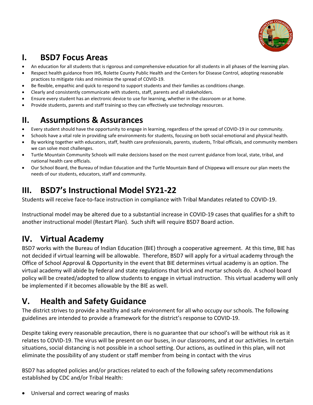

# **I. BSD7 Focus Areas**

- An education for all students that is rigorous and comprehensive education for all students in all phases of the learning plan.
- Respect health guidance from IHS, Rolette County Public Health and the Centers for Disease Control, adopting reasonable practices to mitigate risks and minimize the spread of COVID-19.
- Be flexible, empathic and quick to respond to support students and their families as conditions change.
- Clearly and consistently communicate with students, staff, parents and all stakeholders.
- Ensure every student has an electronic device to use for learning, whether in the classroom or at home.
- Provide students, parents and staff training so they can effectively use technology resources.

### **II. Assumptions & Assurances**

- Every student should have the opportunity to engage in learning, regardless of the spread of COVID-19 in our community.
- Schools have a vital role in providing safe environments for students, focusing on both social-emotional and physical health.
- By working together with educators, staff, health care professionals, parents, students, Tribal officials, and community members we can solve most challenges.
- Turtle Mountain Community Schools will make decisions based on the most current guidance from local, state, tribal, and national health care officials.
- Our School Board, the Bureau of Indian Education and the Turtle Mountain Band of Chippewa will ensure our plan meets the needs of our students, educators, staff and community.

## **III. BSD7's Instructional Model SY21-22**

Students will receive face-to-face instruction in compliance with Tribal Mandates related to COVID-19.

Instructional model may be altered due to a substantial increase in COVID-19 cases that qualifies for a shift to another instructional model (Restart Plan). Such shift will require BSD7 Board action.

## **IV. Virtual Academy**

BSD7 works with the Bureau of Indian Education (BIE) through a cooperative agreement. At this time, BIE has not decided if virtual learning will be allowable. Therefore, BSD7 will apply for a virtual academy through the Office of School Approval & Opportunity in the event that BIE determines virtual academy is an option. The virtual academy will abide by federal and state regulations that brick and mortar schools do. A school board policy will be created/adopted to allow students to engage in virtual instruction. This virtual academy will only be implemented if it becomes allowable by the BIE as well.

## **V. Health and Safety Guidance**

The district strives to provide a healthy and safe environment for all who occupy our schools. The following guidelines are intended to provide a framework for the district's response to COVID-19.

Despite taking every reasonable precaution, there is no guarantee that our school's will be without risk as it relates to COVID-19. The virus will be present on our buses, in our classrooms, and at our activities. In certain situations, social distancing is not possible in a school setting. Our actions, as outlined in this plan, will not eliminate the possibility of any student or staff member from being in contact with the virus

BSD7 has adopted policies and/or practices related to each of the following safety recommendations established by CDC and/or Tribal Health:

• Universal and correct wearing of masks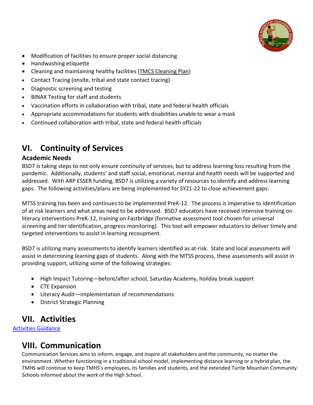

- Modification of facilities to ensure proper social distancing
- Handwashing etiquette
- Cleaning and maintaining healthy facilities [\(TMCS Cleaning Plan\)](https://docs.google.com/document/d/e/2PACX-1vSz0PZu_AWl_oUpL2RK37D3_Zl2CeGb84hw3vn6zLYbL286jF270ntBxbK4oRlt1Q/pub)
- Contact Tracing (onsite, tribal and state contact tracing)
- Diagnostic screening and testing
- BINAX Testing for staff and students
- Vaccination efforts in collaboration with tribal, state and federal health officials
- Appropriate accommodations for students with disabilities unable to wear a mask
- Continued collaboration with tribal, state and federal health officials

### **VI. Continuity of Services**

#### **Academic Needs**

BSD7 is taking steps to not only ensure continuity of services, but to address learning loss resulting from the pandemic. Additionally, students' and staff social, emotional, mental and health needs will be supported and addressed. With ARP ESSER funding, BSD7 is utilizing a variety of resources to identify and address learning gaps. The following activities/plans are being implemented for SY21-22 to close achievement gaps:

MTSS training has been and continues to be implemented PreK-12. The process is imperative to identification of at risk learners and what areas need to be addressed. BSD7 educators have received intensive training on literacy interventions PreK-12, training on Fastbridge (formative assessment tool chosen for universal screening and tier identification, progress monitoring). This tool will empower educators to deliver timely and targeted interventions to assist in learning recoupment.

BSD7 is utilizing many assessments to identify learners identified as at-risk. State and local assessments will assist in determining learning gaps of students. Along with the MTSS process, these assessments will assist in providing support, utilizing some of the following strategies:

- High Impact Tutoring—before/after school, Saturday Academy, holiday break support
- CTE Expansion
- Literacy Audit—implementation of recommendations
- District Strategic Planning

#### **VII. Activities**

[Activities Guidance](https://docs.google.com/document/d/e/2PACX-1vQAY8BICRKKlzcrwUedgPwXNDb1YspoYDAEeiVlS69jycO7Cc4oM1r7sjcxu7h1WSEgF5KkNEOUgNnB/pub)

#### **VIII. Communication**

Communication Services aims to inform, engage, and inspire all stakeholders and the community, no matter the environment. Whether functioning in a traditional school model, implementing distance learning or a hybrid plan, the TMHS will continue to keep TMHS's employees, its families and students, and the extended Turtle Mountain Community Schools informed about the work of the High School.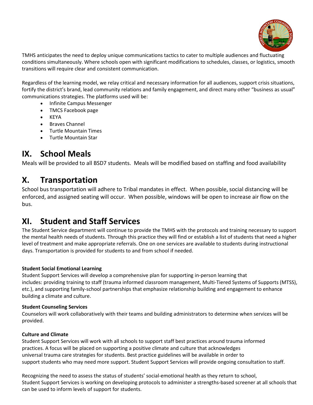

TMHS anticipates the need to deploy unique communications tactics to cater to multiple audiences and fluctuating conditions simultaneously. Where schools open with significant modifications to schedules, classes, or logistics, smooth transitions will require clear and consistent communication.

Regardless of the learning model, we relay critical and necessary information for all audiences, support crisis situations, fortify the district's brand, lead community relations and family engagement, and direct many other "business as usual" communications strategies. The platforms used will be:

- Infinite Campus Messenger
- TMCS Facebook page
- KEYA
- Braves Channel
- Turtle Mountain Times
- Turtle Mountain Star

### **IX. School Meals**

Meals will be provided to all BSD7 students. Meals will be modified based on staffing and food availability

### **X. Transportation**

School bus transportation will adhere to Tribal mandates in effect. When possible, social distancing will be enforced, and assigned seating will occur. When possible, windows will be open to increase air flow on the bus.

### **XI. Student and Staff Services**

The Student Service department will continue to provide the TMHS with the protocols and training necessary to support the mental health needs of students. Through this practice they will find or establish a list of students that need a higher level of treatment and make appropriate referrals. One on one services are available to students during instructional days. Transportation is provided for students to and from school if needed.

#### **Student Social Emotional Learning**

Student Support Services will develop a comprehensive plan for supporting in-person learning that includes: providing training to staff (trauma informed classroom management, Multi-Tiered Systems of Supports (MTSS), etc.), and supporting family-school partnerships that emphasize relationship building and engagement to enhance building a climate and culture.

#### **Student Counseling Services**

Counselors will work collaboratively with their teams and building administrators to determine when services will be provided.

#### **Culture and Climate**

Student Support Services will work with all schools to support staff best practices around trauma informed practices. A focus will be placed on supporting a positive climate and culture that acknowledges universal trauma care strategies for students. Best practice guidelines will be available in order to support students who may need more support. Student Support Services will provide ongoing consultation to staff.

Recognizing the need to assess the status of students' social-emotional health as they return to school, Student Support Services is working on developing protocols to administer a strengths-based screener at all schools that can be used to inform levels of support for students.